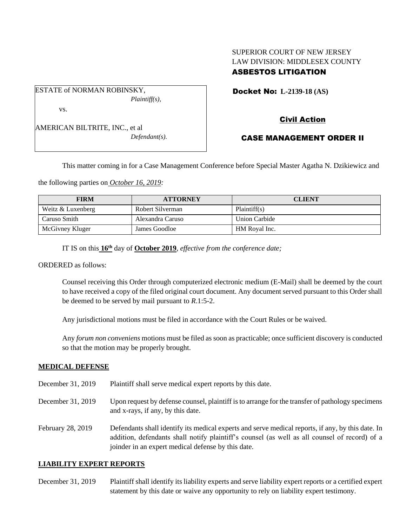## SUPERIOR COURT OF NEW JERSEY LAW DIVISION: MIDDLESEX COUNTY ASBESTOS LITIGATION

ESTATE of NORMAN ROBINSKY, *Plaintiff(s),* vs.

AMERICAN BILTRITE, INC., et al *Defendant(s).* Docket No: **L-2139-18 (AS)** 

# Civil Action

## CASE MANAGEMENT ORDER II

This matter coming in for a Case Management Conference before Special Master Agatha N. Dzikiewicz and

the following parties on *October 16, 2019:*

| <b>FIRM</b>       | <b>ATTORNEY</b>  | <b>CLIENT</b>        |
|-------------------|------------------|----------------------|
| Weitz & Luxenberg | Robert Silverman | Plaintiff(s)         |
| Caruso Smith      | Alexandra Caruso | <b>Union Carbide</b> |
| McGivney Kluger   | James Goodloe    | HM Royal Inc.        |

IT IS on this **16th** day of **October 2019**, *effective from the conference date;*

ORDERED as follows:

Counsel receiving this Order through computerized electronic medium (E-Mail) shall be deemed by the court to have received a copy of the filed original court document. Any document served pursuant to this Order shall be deemed to be served by mail pursuant to *R*.1:5-2.

Any jurisdictional motions must be filed in accordance with the Court Rules or be waived.

Any *forum non conveniens* motions must be filed as soon as practicable; once sufficient discovery is conducted so that the motion may be properly brought.

#### **MEDICAL DEFENSE**

- December 31, 2019 Plaintiff shall serve medical expert reports by this date.
- December 31, 2019 Upon request by defense counsel, plaintiff is to arrange for the transfer of pathology specimens and x-rays, if any, by this date.
- February 28, 2019 Defendants shall identify its medical experts and serve medical reports, if any, by this date. In addition, defendants shall notify plaintiff's counsel (as well as all counsel of record) of a joinder in an expert medical defense by this date.

#### **LIABILITY EXPERT REPORTS**

December 31, 2019 Plaintiff shall identify its liability experts and serve liability expert reports or a certified expert statement by this date or waive any opportunity to rely on liability expert testimony.